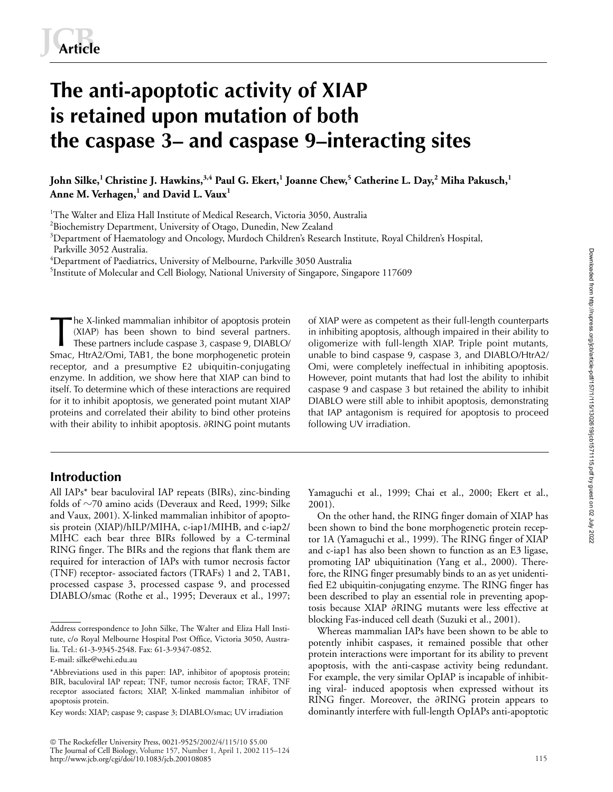# **The anti-apoptotic activity of XIAP is retained upon mutation of both the caspase 3– and caspase 9–interacting sites**

**John Silke,1 Christine J. Hawkins,3,4 Paul G. Ekert,1 Joanne Chew,<sup>5</sup> Catherine L. Day,<sup>2</sup> Miha Pakusch,<sup>1</sup> Anne M. Verhagen,<sup>1</sup> and David L. Vaux<sup>1</sup>**

<sup>1</sup>The Walter and Eliza Hall Institute of Medical Research, Victoria 3050, Australia

 $^{2}$ Biochemistry Department, University of Otago, Dunedin, New Zealand

<sup>3</sup>Department of Haematology and Oncology, Murdoch Children's Research Institute, Royal Children's Hospital,

Parkville 3052 Australia.

 $^4$ Department of Paediatrics, University of Melbourne, Parkville 3050 Australia

<sup>5</sup>Institute of Molecular and Cell Biology, National University of Singapore, Singapore 117609

he X-linked mammalian inhibitor of apoptosis protein (XIAP) has been shown to bind several partners. These partners include caspase 3, caspase 9, DIABLO/ Smac, HtrA2/Omi, TAB1, the bone morphogenetic protein receptor, and a presumptive E2 ubiquitin-conjugating enzyme. In addition, we show here that XIAP can bind to itself. To determine which of these interactions are required for it to inhibit apoptosis, we generated point mutant XIAP proteins and correlated their ability to bind other proteins with their ability to inhibit apoptosis.  $\partial{\rm RING}$  point mutants The X-linked mammalian inhibitor of apoptosis protein of XIAP were as competent as their full-length counterparts<br>(XIAP) has been shown to bind several partners. in inhibiting apoptosis, although impaired in their ability

# **Introduction**

All IAPs\* bear baculoviral IAP repeats (BIRs), zinc-binding folds of  $\sim$ 70 amino acids (Deveraux and Reed, 1999; Silke and Vaux, 2001). X-linked mammalian inhibitor of apoptosis protein (XIAP)/hILP/MIHA, c-iap1/MIHB, and c-iap2/ MIHC each bear three BIRs followed by a C-terminal RING finger. The BIRs and the regions that flank them are required for interaction of IAPs with tumor necrosis factor (TNF) receptor- associated factors (TRAFs) 1 and 2, TAB1, processed caspase 3, processed caspase 9, and processed DIABLO/smac (Rothe et al., 1995; Deveraux et al., 1997;

 The Rockefeller University Press, 0021-9525/2002/4/115/10 \$5.00 The Journal of Cell Biology, Volume 157, Number 1, April 1, 2002 115–124 http://www.jcb.org/cgi/doi/10.1083/jcb.200108085

in inhibiting apoptosis, although impaired in their ability to oligomerize with full-length XIAP. Triple point mutants, unable to bind caspase 9, caspase 3, and DIABLO/HtrA2/ Omi, were completely ineffectual in inhibiting apoptosis. However, point mutants that had lost the ability to inhibit caspase 9 and caspase 3 but retained the ability to inhibit DIABLO were still able to inhibit apoptosis, demonstrating that IAP antagonism is required for apoptosis to proceed following UV irradiation.

Downloaded from http:///upress.org/jcb/article-pdf/157/1/115/1302619/jcb1571115.pdf by guest on 02 July 2022 Downloaded from http://rupress.org/jcb/article-pdf/157/1/115/1302619/jcb1571115.pdf by guest on 02 July 2022

Yamaguchi et al., 1999; Chai et al., 2000; Ekert et al., 2001).

On the other hand, the RING finger domain of XIAP has been shown to bind the bone morphogenetic protein receptor 1A (Yamaguchi et al., 1999). The RING finger of XIAP and c-iap1 has also been shown to function as an E3 ligase, promoting IAP ubiquitination (Yang et al., 2000). Therefore, the RING finger presumably binds to an as yet unidentified E2 ubiquitin-conjugating enzyme. The RING finger has been described to play an essential role in preventing apoptosis because XIAP ∂RING mutants were less effective at blocking Fas-induced cell death (Suzuki et al., 2001).

Whereas mammalian IAPs have been shown to be able to potently inhibit caspases, it remained possible that other protein interactions were important for its ability to prevent apoptosis, with the anti-caspase activity being redundant. For example, the very similar OpIAP is incapable of inhibiting viral- induced apoptosis when expressed without its RING finger. Moreover, the aRING protein appears to dominantly interfere with full-length OpIAPs anti-apoptotic

Address correspondence to John Silke, The Walter and Eliza Hall Institute, c/o Royal Melbourne Hospital Post Office, Victoria 3050, Australia. Tel.: 61-3-9345-2548. Fax: 61-3-9347-0852.

E-mail: silke@wehi.edu.au

<sup>\*</sup>Abbreviations used in this paper: IAP, inhibitor of apoptosis protein; BIR, baculoviral IAP repeat; TNF, tumor necrosis factor; TRAF, TNF receptor associated factors; XIAP, X-linked mammalian inhibitor of apoptosis protein.

Key words: XIAP; caspase 9; caspase 3; DIABLO/smac; UV irradiation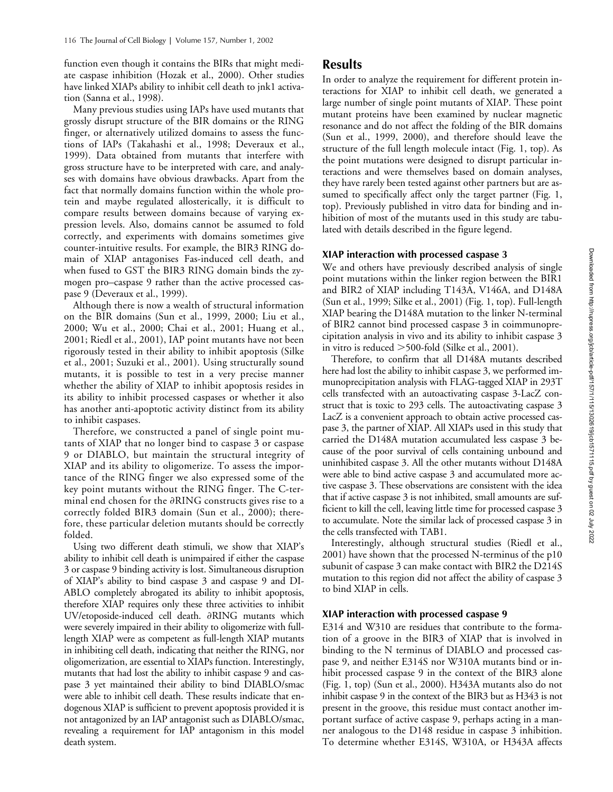function even though it contains the BIRs that might mediate caspase inhibition (Hozak et al., 2000). Other studies have linked XIAPs ability to inhibit cell death to jnk1 activation (Sanna et al., 1998).

Many previous studies using IAPs have used mutants that grossly disrupt structure of the BIR domains or the RING finger, or alternatively utilized domains to assess the functions of IAPs (Takahashi et al., 1998; Deveraux et al., 1999). Data obtained from mutants that interfere with gross structure have to be interpreted with care, and analyses with domains have obvious drawbacks. Apart from the fact that normally domains function within the whole protein and maybe regulated allosterically, it is difficult to compare results between domains because of varying expression levels. Also, domains cannot be assumed to fold correctly, and experiments with domains sometimes give counter-intuitive results. For example, the BIR3 RING domain of XIAP antagonises Fas-induced cell death, and when fused to GST the BIR3 RING domain binds the zymogen pro–caspase 9 rather than the active processed caspase 9 (Deveraux et al., 1999).

Although there is now a wealth of structural information on the BIR domains (Sun et al., 1999, 2000; Liu et al., 2000; Wu et al., 2000; Chai et al., 2001; Huang et al., 2001; Riedl et al., 2001), IAP point mutants have not been rigorously tested in their ability to inhibit apoptosis (Silke et al., 2001; Suzuki et al., 2001). Using structurally sound mutants, it is possible to test in a very precise manner whether the ability of XIAP to inhibit apoptosis resides in its ability to inhibit processed caspases or whether it also has another anti-apoptotic activity distinct from its ability to inhibit caspases.

Therefore, we constructed a panel of single point mutants of XIAP that no longer bind to caspase 3 or caspase 9 or DIABLO, but maintain the structural integrity of XIAP and its ability to oligomerize. To assess the importance of the RING finger we also expressed some of the key point mutants without the RING finger. The C-terminal end chosen for the  $\partial \text{RING}$  constructs gives rise to a correctly folded BIR3 domain (Sun et al., 2000); therefore, these particular deletion mutants should be correctly folded.

Using two different death stimuli, we show that XIAP's ability to inhibit cell death is unimpaired if either the caspase 3 or caspase 9 binding activity is lost. Simultaneous disruption of XIAP's ability to bind caspase 3 and caspase 9 and DI-ABLO completely abrogated its ability to inhibit apoptosis, therefore XIAP requires only these three activities to inhibit UV/etoposide-induced cell death. aRING mutants which were severely impaired in their ability to oligomerize with fulllength XIAP were as competent as full-length XIAP mutants in inhibiting cell death, indicating that neither the RING, nor oligomerization, are essential to XIAPs function. Interestingly, mutants that had lost the ability to inhibit caspase 9 and caspase 3 yet maintained their ability to bind DIABLO/smac were able to inhibit cell death. These results indicate that endogenous XIAP is sufficient to prevent apoptosis provided it is not antagonized by an IAP antagonist such as DIABLO/smac, revealing a requirement for IAP antagonism in this model death system.

## **Results**

In order to analyze the requirement for different protein interactions for XIAP to inhibit cell death, we generated a large number of single point mutants of XIAP. These point mutant proteins have been examined by nuclear magnetic resonance and do not affect the folding of the BIR domains (Sun et al., 1999, 2000), and therefore should leave the structure of the full length molecule intact (Fig. 1, top). As the point mutations were designed to disrupt particular interactions and were themselves based on domain analyses, they have rarely been tested against other partners but are assumed to specifically affect only the target partner (Fig. 1, top). Previously published in vitro data for binding and inhibition of most of the mutants used in this study are tabulated with details described in the figure legend.

## **XIAP interaction with processed caspase 3**

We and others have previously described analysis of single point mutations within the linker region between the BIR1 and BIR2 of XIAP including T143A, V146A, and D148A (Sun et al., 1999; Silke et al., 2001) (Fig. 1, top). Full-length XIAP bearing the D148A mutation to the linker N-terminal of BIR2 cannot bind processed caspase 3 in coimmunoprecipitation analysis in vivo and its ability to inhibit caspase 3 in vitro is reduced  $>$  500-fold (Silke et al., 2001).

Therefore, to confirm that all D148A mutants described here had lost the ability to inhibit caspase 3, we performed immunoprecipitation analysis with FLAG-tagged XIAP in 293T cells transfected with an autoactivating caspase 3-LacZ construct that is toxic to 293 cells. The autoactivating caspase 3 LacZ is a convenient approach to obtain active processed caspase 3, the partner of XIAP. All XIAPs used in this study that carried the D148A mutation accumulated less caspase 3 because of the poor survival of cells containing unbound and uninhibited caspase 3. All the other mutants without D148A were able to bind active caspase 3 and accumulated more active caspase 3. These observations are consistent with the idea that if active caspase 3 is not inhibited, small amounts are sufficient to kill the cell, leaving little time for processed caspase 3 to accumulate. Note the similar lack of processed caspase 3 in the cells transfected with TAB1.

Interestingly, although structural studies (Riedl et al., 2001) have shown that the processed N-terminus of the p10 subunit of caspase 3 can make contact with BIR2 the D214S mutation to this region did not affect the ability of caspase 3 to bind XIAP in cells.

## **XIAP interaction with processed caspase 9**

E314 and W310 are residues that contribute to the formation of a groove in the BIR3 of XIAP that is involved in binding to the N terminus of DIABLO and processed caspase 9, and neither E314S nor W310A mutants bind or inhibit processed caspase 9 in the context of the BIR3 alone (Fig. 1, top) (Sun et al., 2000). H343A mutants also do not inhibit caspase 9 in the context of the BIR3 but as H343 is not present in the groove, this residue must contact another important surface of active caspase 9, perhaps acting in a manner analogous to the D148 residue in caspase 3 inhibition. To determine whether E314S, W310A, or H343A affects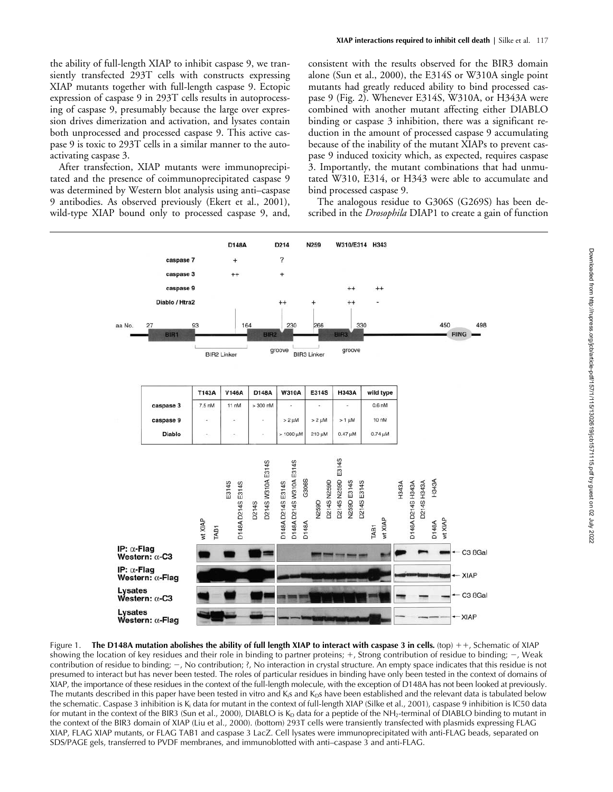the ability of full-length XIAP to inhibit caspase 9, we transiently transfected 293T cells with constructs expressing XIAP mutants together with full-length caspase 9. Ectopic expression of caspase 9 in 293T cells results in autoprocessing of caspase 9, presumably because the large over expression drives dimerization and activation, and lysates contain both unprocessed and processed caspase 9. This active caspase 9 is toxic to 293T cells in a similar manner to the autoactivating caspase 3.

After transfection, XIAP mutants were immunoprecipitated and the presence of coimmunoprecipitated caspase 9 was determined by Western blot analysis using anti–caspase 9 antibodies. As observed previously (Ekert et al., 2001), wild-type XIAP bound only to processed caspase 9, and,

consistent with the results observed for the BIR3 domain alone (Sun et al., 2000), the E314S or W310A single point mutants had greatly reduced ability to bind processed caspase 9 (Fig. 2). Whenever E314S, W310A, or H343A were combined with another mutant affecting either DIABLO binding or caspase 3 inhibition, there was a significant reduction in the amount of processed caspase 9 accumulating because of the inability of the mutant XIAPs to prevent caspase 9 induced toxicity which, as expected, requires caspase 3. Importantly, the mutant combinations that had unmutated W310, E314, or H343 were able to accumulate and bind processed caspase 9.

The analogous residue to G306S (G269S) has been described in the *Drosophila* DIAP1 to create a gain of function



Figure 1. The D148A mutation abolishes the ability of full length XIAP to interact with caspase 3 in cells. (top)  $++$ , Schematic of XIAP showing the location of key residues and their role in binding to partner proteins;  $+$ , Strong contribution of residue to binding;  $-$ , Weak contribution of residue to binding;  $-$ , No contribution; ?, No interaction in crystal structure. An empty space indicates that this residue is not presumed to interact but has never been tested. The roles of particular residues in binding have only been tested in the context of domains of XIAP, the importance of these residues in the context of the full-length molecule, with the exception of D148A has not been looked at previously. The mutants described in this paper have been tested in vitro and  $K<sub>i</sub>s$  and  $K<sub>i</sub>s$  have been established and the relevant data is tabulated below the schematic. Caspase 3 inhibition is  $K_i$  data for mutant in the context of full-length XIAP (Silke et al., 2001), caspase 9 inhibition is IC50 data for mutant in the context of the BIR3 (Sun et al., 2000), DIABLO is  $K_D$  data for a peptide of the NH<sub>2</sub>-terminal of DIABLO binding to mutant in the context of the BIR3 domain of XIAP (Liu et al., 2000). (bottom) 293T cells were transiently transfected with plasmids expressing FLAG XIAP, FLAG XIAP mutants, or FLAG TAB1 and caspase 3 LacZ. Cell lysates were immunoprecipitated with anti-FLAG beads, separated on SDS/PAGE gels, transferred to PVDF membranes, and immunoblotted with anti–caspase 3 and anti-FLAG.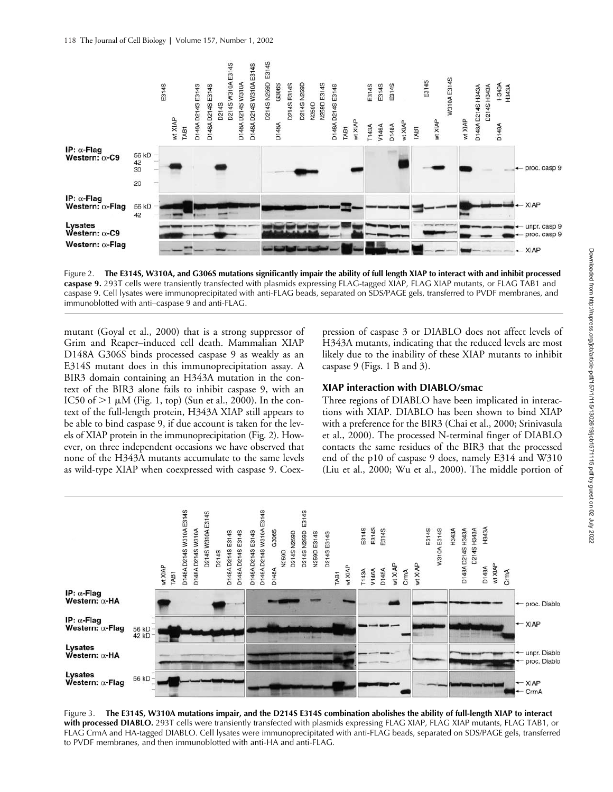

Figure 2. **The E314S, W310A, and G306S mutations significantly impair the ability of full length XIAP to interact with and inhibit processed caspase 9***.* 293T cells were transiently transfected with plasmids expressing FLAG-tagged XIAP, FLAG XIAP mutants, or FLAG TAB1 and caspase 9. Cell lysates were immunoprecipitated with anti-FLAG beads, separated on SDS/PAGE gels, transferred to PVDF membranes, and immunoblotted with anti–caspase 9 and anti-FLAG.

mutant (Goyal et al., 2000) that is a strong suppressor of Grim and Reaper–induced cell death. Mammalian XIAP D148A G306S binds processed caspase 9 as weakly as an E314S mutant does in this immunoprecipitation assay. A BIR3 domain containing an H343A mutation in the context of the BIR3 alone fails to inhibit caspase 9, with an IC50 of  $>1 \mu M$  (Fig. 1, top) (Sun et al., 2000). In the context of the full-length protein, H343A XIAP still appears to be able to bind caspase 9, if due account is taken for the levels of XIAP protein in the immunoprecipitation (Fig. 2). However, on three independent occasions we have observed that none of the H343A mutants accumulate to the same levels as wild-type XIAP when coexpressed with caspase 9. Coex-

pression of caspase 3 or DIABLO does not affect levels of H343A mutants, indicating that the reduced levels are most likely due to the inability of these XIAP mutants to inhibit caspase 9 (Figs. 1 B and 3).

## **XIAP interaction with DIABLO/smac**

Three regions of DIABLO have been implicated in interactions with XIAP. DIABLO has been shown to bind XIAP with a preference for the BIR3 (Chai et al., 2000; Srinivasula et al., 2000). The processed N-terminal finger of DIABLO contacts the same residues of the BIR3 that the processed end of the p10 of caspase 9 does, namely E314 and W310 (Liu et al., 2000; Wu et al., 2000). The middle portion of



Figure 3. **The E314S, W310A mutations impair, and the D214S E314S combination abolishes the ability of full-length XIAP to interact with processed DIABLO***.* 293T cells were transiently transfected with plasmids expressing FLAG XIAP, FLAG XIAP mutants, FLAG TAB1, or FLAG CrmA and HA-tagged DIABLO. Cell lysates were immunoprecipitated with anti-FLAG beads, separated on SDS/PAGE gels, transferred to PVDF membranes, and then immunoblotted with anti-HA and anti-FLAG.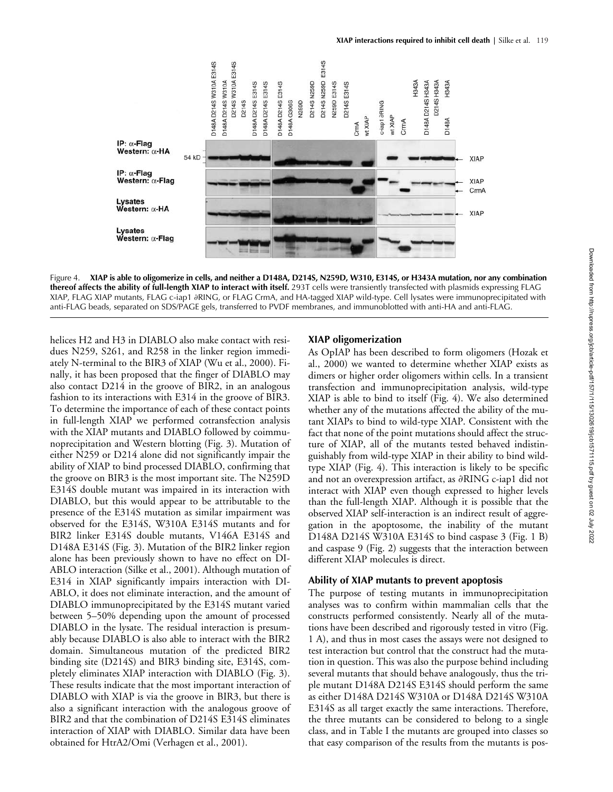

Figure 4. **XIAP is able to oligomerize in cells, and neither a D148A, D214S, N259D, W310, E314S, or H343A mutation, nor any combination thereof affects the ability of full-length XIAP to interact with itself***.* 293T cells were transiently transfected with plasmids expressing FLAG XIAP, FLAG XIAP mutants, FLAG c-iap1 ∂RING, or FLAG CrmA, and HA-tagged XIAP wild-type. Cell lysates were immunoprecipitated with anti-FLAG beads, separated on SDS/PAGE gels, transferred to PVDF membranes, and immunoblotted with anti-HA and anti-FLAG.

helices H2 and H3 in DIABLO also make contact with residues N259, S261, and R258 in the linker region immediately N-terminal to the BIR3 of XIAP (Wu et al., 2000). Finally, it has been proposed that the finger of DIABLO may also contact D214 in the groove of BIR2, in an analogous fashion to its interactions with E314 in the groove of BIR3. To determine the importance of each of these contact points in full-length XIAP we performed cotransfection analysis with the XIAP mutants and DIABLO followed by coimmunoprecipitation and Western blotting (Fig. 3). Mutation of either N259 or D214 alone did not significantly impair the ability of XIAP to bind processed DIABLO, confirming that the groove on BIR3 is the most important site. The N259D E314S double mutant was impaired in its interaction with DIABLO, but this would appear to be attributable to the presence of the E314S mutation as similar impairment was observed for the E314S, W310A E314S mutants and for BIR2 linker E314S double mutants, V146A E314S and D148A E314S (Fig. 3). Mutation of the BIR2 linker region alone has been previously shown to have no effect on DI-ABLO interaction (Silke et al., 2001). Although mutation of E314 in XIAP significantly impairs interaction with DI-ABLO, it does not eliminate interaction, and the amount of DIABLO immunoprecipitated by the E314S mutant varied between 5–50% depending upon the amount of processed DIABLO in the lysate. The residual interaction is presumably because DIABLO is also able to interact with the BIR2 domain. Simultaneous mutation of the predicted BIR2 binding site (D214S) and BIR3 binding site, E314S, completely eliminates XIAP interaction with DIABLO (Fig. 3). These results indicate that the most important interaction of DIABLO with XIAP is via the groove in BIR3, but there is also a significant interaction with the analogous groove of BIR2 and that the combination of D214S E314S eliminates interaction of XIAP with DIABLO. Similar data have been obtained for HtrA2/Omi (Verhagen et al., 2001).

#### **XIAP oligomerization**

As OpIAP has been described to form oligomers (Hozak et al., 2000) we wanted to determine whether XIAP exists as dimers or higher order oligomers within cells. In a transient transfection and immunoprecipitation analysis, wild-type XIAP is able to bind to itself (Fig. 4). We also determined whether any of the mutations affected the ability of the mutant XIAPs to bind to wild-type XIAP. Consistent with the fact that none of the point mutations should affect the structure of XIAP, all of the mutants tested behaved indistinguishably from wild-type XIAP in their ability to bind wildtype XIAP (Fig. 4). This interaction is likely to be specific and not an overexpression artifact, as  $\partial{\rm RING}$  c-iap1  ${\rm did}$  not interact with XIAP even though expressed to higher levels than the full-length XIAP. Although it is possible that the observed XIAP self-interaction is an indirect result of aggregation in the apoptosome, the inability of the mutant D148A D214S W310A E314S to bind caspase 3 (Fig. 1 B) and caspase 9 (Fig. 2) suggests that the interaction between different XIAP molecules is direct.

#### **Ability of XIAP mutants to prevent apoptosis**

The purpose of testing mutants in immunoprecipitation analyses was to confirm within mammalian cells that the constructs performed consistently. Nearly all of the mutations have been described and rigorously tested in vitro (Fig. 1 A), and thus in most cases the assays were not designed to test interaction but control that the construct had the mutation in question. This was also the purpose behind including several mutants that should behave analogously, thus the triple mutant D148A D214S E314S should perform the same as either D148A D214S W310A or D148A D214S W310A E314S as all target exactly the same interactions. Therefore, the three mutants can be considered to belong to a single class, and in Table I the mutants are grouped into classes so that easy comparison of the results from the mutants is pos-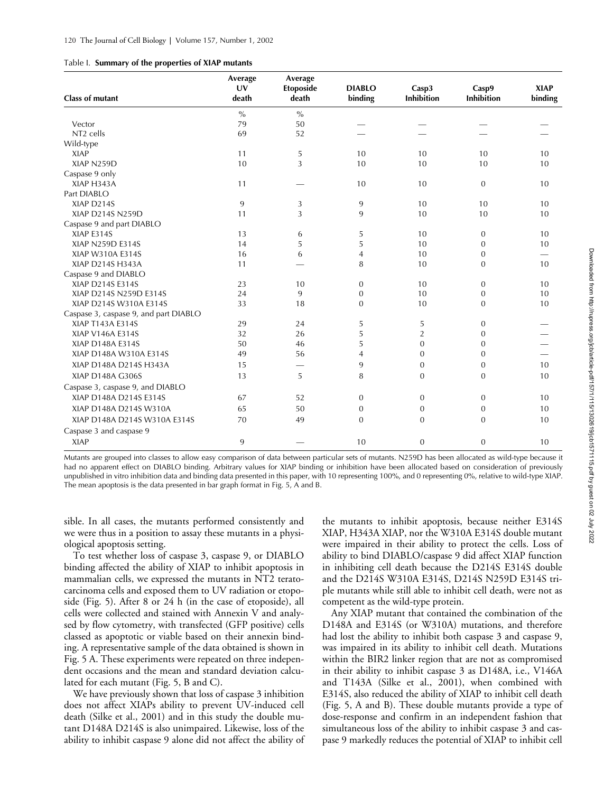|  |  |  | Table I. Summary of the properties of XIAP mutants |  |  |
|--|--|--|----------------------------------------------------|--|--|
|--|--|--|----------------------------------------------------|--|--|

| binding<br><b>Inhibition</b><br>Inhibition<br>$\%$<br>$\frac{0}{0}$<br>50<br>79<br>Vector<br>NT <sub>2</sub> cells<br>69<br>52<br>Wild-type<br><b>XIAP</b><br>5<br>10<br>10<br>11<br>10<br>3<br>10<br>XIAP N259D<br>10<br>10<br>10<br>Caspase 9 only<br>XIAP H343A<br>11<br>10<br>10<br>$\theta$<br>Part DIABLO | <b>XIAP</b><br>binding |
|-----------------------------------------------------------------------------------------------------------------------------------------------------------------------------------------------------------------------------------------------------------------------------------------------------------------|------------------------|
|                                                                                                                                                                                                                                                                                                                 |                        |
|                                                                                                                                                                                                                                                                                                                 |                        |
|                                                                                                                                                                                                                                                                                                                 |                        |
|                                                                                                                                                                                                                                                                                                                 |                        |
|                                                                                                                                                                                                                                                                                                                 | 10                     |
|                                                                                                                                                                                                                                                                                                                 | 10                     |
|                                                                                                                                                                                                                                                                                                                 |                        |
|                                                                                                                                                                                                                                                                                                                 | 10                     |
|                                                                                                                                                                                                                                                                                                                 |                        |
| XIAP D214S<br>9<br>3<br>9<br>10<br>10                                                                                                                                                                                                                                                                           | 10                     |
| 3<br>10<br>XIAP D214S N259D<br>11<br>9<br>10                                                                                                                                                                                                                                                                    | 10                     |
| Caspase 9 and part DIABLO                                                                                                                                                                                                                                                                                       |                        |
| XIAP E314S<br>13<br>5<br>10<br>6<br>$\mathbf{0}$                                                                                                                                                                                                                                                                | 10                     |
| 5<br>5<br>XIAP N259D E314S<br>10<br>14<br>$\theta$                                                                                                                                                                                                                                                              | 10                     |
| 10<br>XIAP W310A E314S<br>16<br>6<br>$\overline{4}$<br>$\theta$                                                                                                                                                                                                                                                 |                        |
| 8<br>10<br>XIAP D214S H343A<br>11<br>$\Omega$                                                                                                                                                                                                                                                                   | 10                     |
| Caspase 9 and DIABLO                                                                                                                                                                                                                                                                                            |                        |
| XIAP D214S E314S<br>23<br>10<br>10<br>$\mathbf{0}$<br>$\theta$                                                                                                                                                                                                                                                  | 10                     |
| XIAP D214S N259D E314S<br>24<br>9<br>10<br>$\overline{0}$<br>$\overline{0}$                                                                                                                                                                                                                                     | 10                     |
| XIAP D214S W310A E314S<br>33<br>18<br>10<br>$\overline{0}$<br>$\theta$                                                                                                                                                                                                                                          | 10                     |
| Caspase 3, caspase 9, and part DIABLO                                                                                                                                                                                                                                                                           |                        |
| XIAP T143A E314S<br>24<br>5<br>5<br>29<br>$\theta$                                                                                                                                                                                                                                                              |                        |
| $\overline{2}$<br>32<br>26<br>5<br>XIAP V146A E314S<br>$\theta$                                                                                                                                                                                                                                                 |                        |
| 5<br>XIAP D148A E314S<br>50<br>46<br>$\mathbf{0}$<br>$\theta$                                                                                                                                                                                                                                                   |                        |
| XIAP D148A W310A E314S<br>56<br>$\Omega$<br>49<br>4<br>$\Omega$                                                                                                                                                                                                                                                 |                        |
| XIAP D148A D214S H343A<br>15<br>9<br>$\mathbf{0}$<br>$\theta$<br>—                                                                                                                                                                                                                                              | 10                     |
| XIAP D148A G306S<br>13<br>5<br>8<br>$\mathbf{0}$<br>0                                                                                                                                                                                                                                                           | 10                     |
| Caspase 3, caspase 9, and DIABLO                                                                                                                                                                                                                                                                                |                        |
| XIAP D148A D214S E314S<br>52<br>$\boldsymbol{0}$<br>$\mathbf{0}$<br>67<br>$\mathbf{0}$                                                                                                                                                                                                                          | 10                     |
| XIAP D148A D214S W310A<br>65<br>50<br>$\mathbf{0}$<br>$\theta$<br>$\theta$                                                                                                                                                                                                                                      | 10                     |
| XIAP D148A D214S W310A E314S<br>70<br>49<br>$\overline{0}$<br>$\theta$<br>$\theta$                                                                                                                                                                                                                              | 10                     |
| Caspase 3 and caspase 9                                                                                                                                                                                                                                                                                         |                        |
| <b>XIAP</b><br>9<br>10<br>$\mathbf{0}$<br>$\theta$                                                                                                                                                                                                                                                              | 10                     |

Mutants are grouped into classes to allow easy comparison of data between particular sets of mutants. N259D has been allocated as wild-type because it had no apparent effect on DIABLO binding. Arbitrary values for XIAP binding or inhibition have been allocated based on consideration of previously unpublished in vitro inhibition data and binding data presented in this paper, with 10 representing 100%, and 0 representing 0%, relative to wild-type XIAP. The mean apoptosis is the data presented in bar graph format in Fig. 5, A and B.

sible. In all cases, the mutants performed consistently and we were thus in a position to assay these mutants in a physiological apoptosis setting.

To test whether loss of caspase 3, caspase 9, or DIABLO binding affected the ability of XIAP to inhibit apoptosis in mammalian cells, we expressed the mutants in NT2 teratocarcinoma cells and exposed them to UV radiation or etoposide (Fig. 5). After 8 or 24 h (in the case of etoposide), all cells were collected and stained with Annexin V and analysed by flow cytometry, with transfected (GFP positive) cells classed as apoptotic or viable based on their annexin binding. A representative sample of the data obtained is shown in Fig. 5 A. These experiments were repeated on three independent occasions and the mean and standard deviation calculated for each mutant (Fig. 5, B and C).

We have previously shown that loss of caspase 3 inhibition does not affect XIAPs ability to prevent UV-induced cell death (Silke et al., 2001) and in this study the double mutant D148A D214S is also unimpaired. Likewise, loss of the ability to inhibit caspase 9 alone did not affect the ability of

the mutants to inhibit apoptosis, because neither E314S XIAP, H343A XIAP, nor the W310A E314S double mutant were impaired in their ability to protect the cells. Loss of ability to bind DIABLO/caspase 9 did affect XIAP function in inhibiting cell death because the D214S E314S double and the D214S W310A E314S, D214S N259D E314S triple mutants while still able to inhibit cell death, were not as competent as the wild-type protein.

Any XIAP mutant that contained the combination of the D148A and E314S (or W310A) mutations, and therefore had lost the ability to inhibit both caspase 3 and caspase 9, was impaired in its ability to inhibit cell death. Mutations within the BIR2 linker region that are not as compromised in their ability to inhibit caspase 3 as D148A, i.e., V146A and T143A (Silke et al., 2001), when combined with E314S, also reduced the ability of XIAP to inhibit cell death (Fig. 5, A and B). These double mutants provide a type of dose-response and confirm in an independent fashion that simultaneous loss of the ability to inhibit caspase 3 and caspase 9 markedly reduces the potential of XIAP to inhibit cell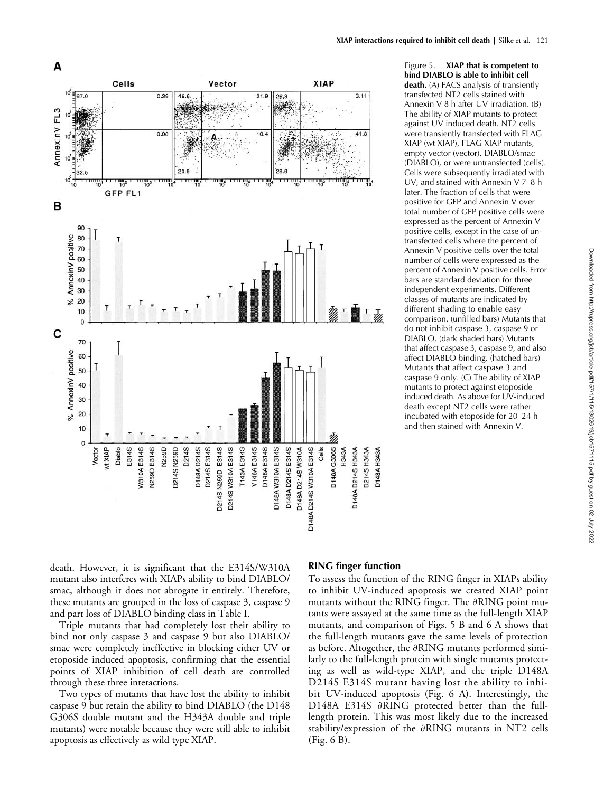

Figure 5. **XIAP that is competent to bind DIABLO is able to inhibit cell death***.* (A) FACS analysis of transiently transfected NT2 cells stained with Annexin V 8 h after UV irradiation. (B) The ability of XIAP mutants to protect against UV induced death. NT2 cells were transiently transfected with FLAG XIAP (wt XIAP), FLAG XIAP mutants, empty vector (vector), DIABLO/smac (DIABLO), or were untransfected (cells). Cells were subsequently irradiated with UV, and stained with Annexin V 7–8 h later. The fraction of cells that were positive for GFP and Annexin V over total number of GFP positive cells were expressed as the percent of Annexin V positive cells, except in the case of untransfected cells where the percent of Annexin V positive cells over the total number of cells were expressed as the percent of Annexin V positive cells. Error bars are standard deviation for three independent experiments. Different classes of mutants are indicated by different shading to enable easy comparison. (unfilled bars) Mutants that do not inhibit caspase 3, caspase 9 or DIABLO. (dark shaded bars) Mutants that affect caspase 3, caspase 9, and also affect DIABLO binding. (hatched bars) Mutants that affect caspase 3 and caspase 9 only. (C) The ability of XIAP mutants to protect against etoposide induced death. As above for UV-induced death except NT2 cells were rather incubated with etoposide for 20–24 h and then stained with Annexin V.

death. However, it is significant that the E314S/W310A mutant also interferes with XIAPs ability to bind DIABLO/ smac, although it does not abrogate it entirely. Therefore, these mutants are grouped in the loss of caspase 3, caspase 9 and part loss of DIABLO binding class in Table I.

Triple mutants that had completely lost their ability to bind not only caspase 3 and caspase 9 but also DIABLO/ smac were completely ineffective in blocking either UV or etoposide induced apoptosis, confirming that the essential points of XIAP inhibition of cell death are controlled through these three interactions.

Two types of mutants that have lost the ability to inhibit caspase 9 but retain the ability to bind DIABLO (the D148 G306S double mutant and the H343A double and triple mutants) were notable because they were still able to inhibit apoptosis as effectively as wild type XIAP.

### **RING finger function**

To assess the function of the RING finger in XIAPs ability to inhibit UV-induced apoptosis we created XIAP point mutants without the RING finger. The  $\partial \text{RING}$  point mutants were assayed at the same time as the full-length XIAP mutants, and comparison of Figs. 5 B and 6 A shows that the full-length mutants gave the same levels of protection as before. Altogether, the  $\partial{\rm RING}$  mutants performed similarly to the full-length protein with single mutants protecting as well as wild-type XIAP, and the triple D148A D214S E314S mutant having lost the ability to inhibit UV-induced apoptosis (Fig. 6 A). Interestingly, the D148A E314S ∂RING protected better than the fulllength protein. This was most likely due to the increased stability/expression of the  $\partial{\rm RING}$  mutants in NT2 cells (Fig. 6 B).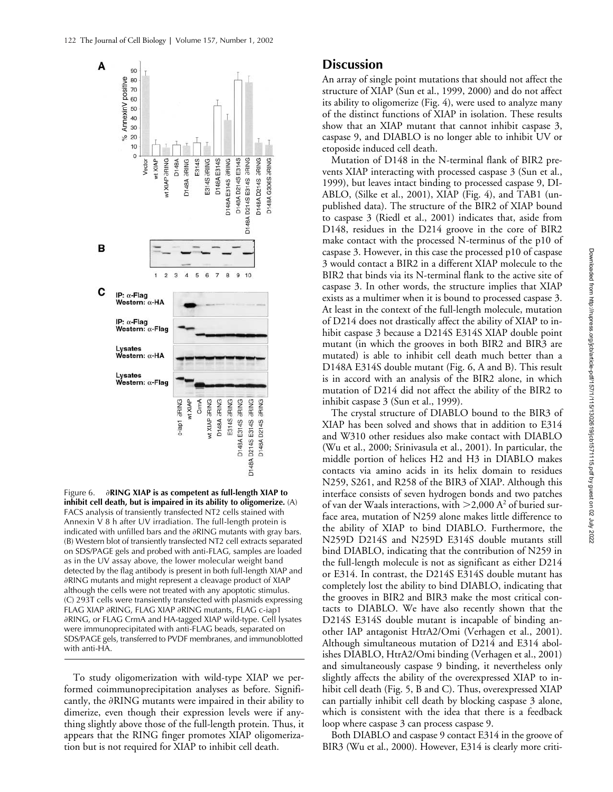

Figure 6. **RING XIAP is as competent as full-length XIAP to inhibit cell death, but is impaired in its ability to oligomerize***.* (A) FACS analysis of transiently transfected NT2 cells stained with Annexin V 8 h after UV irradiation. The full-length protein is indicated with unfilled bars and the  $\partial$ RING mutants with gray bars. (B) Western blot of transiently transfected NT2 cell extracts separated on SDS/PAGE gels and probed with anti-FLAG, samples are loaded as in the UV assay above, the lower molecular weight band detected by the flag antibody is present in both full-length XIAP and -RING mutants and might represent a cleavage product of XIAP although the cells were not treated with any apoptotic stimulus. (C) 293T cells were transiently transfected with plasmids expressing FLAG XIAP ∂RING, FLAG XIAP ∂RING mutants, FLAG c-iap1 -RING, or FLAG CrmA and HA-tagged XIAP wild-type. Cell lysates were immunoprecipitated with anti-FLAG beads, separated on SDS/PAGE gels, transferred to PVDF membranes, and immunoblotted with anti-HA.

To study oligomerization with wild-type XIAP we performed coimmunoprecipitation analyses as before. Significantly, the  $\partial$ RING mutants were impaired in their ability to dimerize, even though their expression levels were if anything slightly above those of the full-length protein. Thus, it appears that the RING finger promotes XIAP oligomerization but is not required for XIAP to inhibit cell death.

## **Discussion**

An array of single point mutations that should not affect the structure of XIAP (Sun et al., 1999, 2000) and do not affect its ability to oligomerize (Fig. 4), were used to analyze many of the distinct functions of XIAP in isolation. These results show that an XIAP mutant that cannot inhibit caspase 3, caspase 9, and DIABLO is no longer able to inhibit UV or etoposide induced cell death.

Mutation of D148 in the N-terminal flank of BIR2 prevents XIAP interacting with processed caspase 3 (Sun et al., 1999), but leaves intact binding to processed caspase 9, DI-ABLO, (Silke et al., 2001), XIAP (Fig. 4), and TAB1 (unpublished data). The structure of the BIR2 of XIAP bound to caspase 3 (Riedl et al., 2001) indicates that, aside from D148, residues in the D214 groove in the core of BIR2 make contact with the processed N-terminus of the p10 of caspase 3. However, in this case the processed p10 of caspase 3 would contact a BIR2 in a different XIAP molecule to the BIR2 that binds via its N-terminal flank to the active site of caspase 3. In other words, the structure implies that XIAP exists as a multimer when it is bound to processed caspase 3. At least in the context of the full-length molecule, mutation of D214 does not drastically affect the ability of XIAP to inhibit caspase 3 because a D214S E314S XIAP double point mutant (in which the grooves in both BIR2 and BIR3 are mutated) is able to inhibit cell death much better than a D148A E314S double mutant (Fig. 6, A and B). This result is in accord with an analysis of the BIR2 alone, in which mutation of D214 did not affect the ability of the BIR2 to inhibit caspase 3 (Sun et al., 1999).

The crystal structure of DIABLO bound to the BIR3 of XIAP has been solved and shows that in addition to E314 and W310 other residues also make contact with DIABLO (Wu et al., 2000; Srinivasula et al., 2001). In particular, the middle portion of helices H2 and H3 in DIABLO makes contacts via amino acids in its helix domain to residues N259, S261, and R258 of the BIR3 of XIAP. Although this interface consists of seven hydrogen bonds and two patches of van der Waals interactions, with  $>$  2,000 A<sup>2</sup> of buried surface area, mutation of N259 alone makes little difference to the ability of XIAP to bind DIABLO. Furthermore, the N259D D214S and N259D E314S double mutants still bind DIABLO, indicating that the contribution of N259 in the full-length molecule is not as significant as either D214 or E314. In contrast, the D214S E314S double mutant has completely lost the ability to bind DIABLO, indicating that the grooves in BIR2 and BIR3 make the most critical contacts to DIABLO. We have also recently shown that the D214S E314S double mutant is incapable of binding another IAP antagonist HtrA2/Omi (Verhagen et al., 2001). Although simultaneous mutation of D214 and E314 abolishes DIABLO, HtrA2/Omi binding (Verhagen et al., 2001) and simultaneously caspase 9 binding, it nevertheless only slightly affects the ability of the overexpressed XIAP to inhibit cell death (Fig. 5, B and C). Thus, overexpressed XIAP can partially inhibit cell death by blocking caspase 3 alone, which is consistent with the idea that there is a feedback loop where caspase 3 can process caspase 9.

Both DIABLO and caspase 9 contact E314 in the groove of BIR3 (Wu et al., 2000). However, E314 is clearly more criti-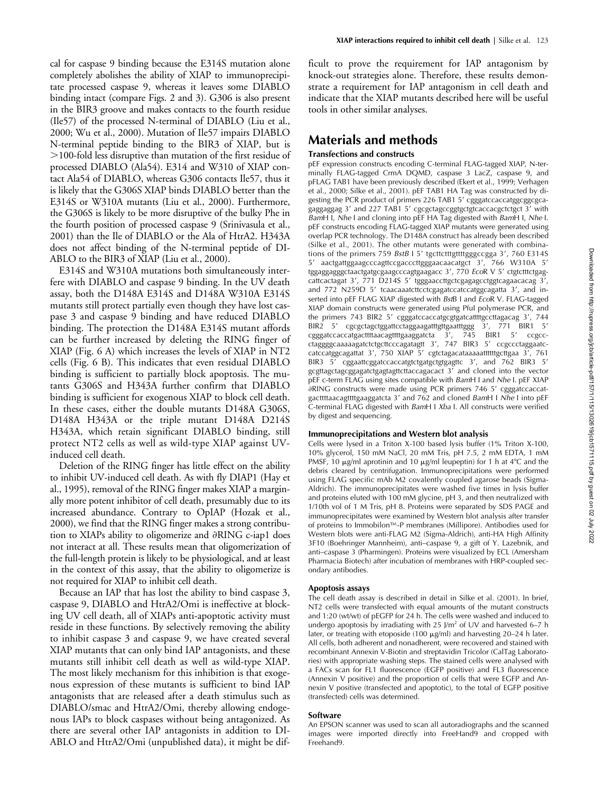cal for caspase 9 binding because the E314S mutation alone completely abolishes the ability of XIAP to immunoprecipitate processed caspase 9, whereas it leaves some DIABLO binding intact (compare Figs. 2 and 3). G306 is also present in the BIR3 groove and makes contacts to the fourth residue (Ile57) of the processed N-terminal of DIABLO (Liu et al., 2000; Wu et al., 2000). Mutation of Ile57 impairs DIABLO N-terminal peptide binding to the BIR3 of XIAP, but is 100-fold less disruptive than mutation of the first residue of processed DIABLO (Ala54). E314 and W310 of XIAP contact Ala54 of DIABLO, whereas G306 contacts Ile57, thus it is likely that the G306S XIAP binds DIABLO better than the E314S or W310A mutants (Liu et al., 2000). Furthermore, the G306S is likely to be more disruptive of the bulky Phe in the fourth position of processed caspase 9 (Srinivasula et al., 2001) than the Ile of DIABLO or the Ala of HtrA2. H343A does not affect binding of the N-terminal peptide of DI-ABLO to the BIR3 of XIAP (Liu et al., 2000).

E314S and W310A mutations both simultaneously interfere with DIABLO and caspase 9 binding. In the UV death assay, both the D148A E314S and D148A W310A E314S mutants still protect partially even though they have lost caspase 3 and caspase 9 binding and have reduced DIABLO binding. The protection the D148A E314S mutant affords can be further increased by deleting the RING finger of XIAP (Fig. 6 A) which increases the levels of XIAP in NT2 cells (Fig. 6 B). This indicates that even residual DIABLO binding is sufficient to partially block apoptosis. The mutants G306S and H343A further confirm that DIABLO binding is sufficient for exogenous XIAP to block cell death. In these cases, either the double mutants D148A G306S, D148A H343A or the triple mutant D148A D214S H343A, which retain significant DIABLO binding, still protect NT2 cells as well as wild-type XIAP against UVinduced cell death.

Deletion of the RING finger has little effect on the ability to inhibit UV-induced cell death. As with fly DIAP1 (Hay et al., 1995), removal of the RING finger makes XIAP a marginally more potent inhibitor of cell death, presumably due to its increased abundance. Contrary to OpIAP (Hozak et al., 2000), we find that the RING finger makes a strong contribution to XIAPs ability to oligomerize and  $\partial RING$  c-iap1 does not interact at all. These results mean that oligomerization of the full-length protein is likely to be physiological, and at least in the context of this assay, that the ability to oligomerize is not required for XIAP to inhibit cell death.

Because an IAP that has lost the ability to bind caspase 3, caspase 9, DIABLO and HtrA2/Omi is ineffective at blocking UV cell death, all of XIAPs anti-apoptotic activity must reside in these functions. By selectively removing the ability to inhibit caspase 3 and caspase 9, we have created several XIAP mutants that can only bind IAP antagonists, and these mutants still inhibit cell death as well as wild-type XIAP. The most likely mechanism for this inhibition is that exogenous expression of these mutants is sufficient to bind IAP antagonists that are released after a death stimulus such as DIABLO/smac and HtrA2/Omi, thereby allowing endogenous IAPs to block caspases without being antagonized. As there are several other IAP antagonists in addition to DI-ABLO and HtrA2/Omi (unpublished data), it might be difficult to prove the requirement for IAP antagonism by knock-out strategies alone. Therefore, these results demonstrate a requirement for IAP antagonism in cell death and indicate that the XIAP mutants described here will be useful tools in other similar analyses.

# **Materials and methods**

#### **Transfections and constructs**

pEF expression constructs encoding C-terminal FLAG-tagged XIAP, N-terminally FLAG-tagged CrmA DQMD, caspase 3 LacZ, caspase 9, and pFLAG TAB1 have been previously described (Ekert et al., 1999; Verhagen et al., 2000; Silke et al., 2001). pEF TAB1 HA Tag was constructed by digesting the PCR product of primers 226 TAB1 5' cgggatccaccatggcgggcgcagaggaggag 3' and 227 TAB1 5' cgcgctagccggtgctgtcaccacgctctgct 3' with *Bam*H I, *Nhe* I and cloning into pEF HA Tag digested with *Bam*H I, *Nhe* I. pEF constructs encoding FLAG-tagged XIAP mutants were generated using overlap PCR technology. The D148A construct has already been described (Silke et al., 2001). The other mutants were generated with combinations of the primers 759 *BstB* I 5' tgcttctttgttttgggccgga 3', 760 E314S 5' aactgattggaagcccagttccgacccttgggaacaacatgct 3', 766 W310A 5' tggaggagggctaactgatgcgaagcccagtgaagacc 3', 770 *Eco*R V 5' ctgtctttctgagcattcactagat 3', 771 D214S 5' tgggaaccttgctcgagagcctggtcagaacacag 3', and 772 N259D 5' tcaacaaatcttcctcgagatccatccatggcagatta 3', and inserted into pEF FLAG XIAP digested with *Bst*B I and *Eco*R V. FLAG-tagged XIAP domain constructs were generated using PfuI polymerase PCR, and the primers 743 BIR2 5' cgggatccaccatgcgtgatcattttgccttagacag 3', 744 BIR2 5' cgcgctagctggattcctaggaagatttgttgaatttggg 3', 771 BIR1 5' cgggatccaccatgacttttaacagttttgaaggatcta 3', 745 BIR1 5' ccgccctaggggcaaaaagatctctgcttcccagatagtt 3', 747 BIR3 5' ccgccctaggaatccatccatggcagattat 3', 750 XIAP 5' cgtctagacataaaaattttttgcttgaa 3', 761 BIR3 5<sup>7</sup> cggaattcggatccaccatgtctgatgctgtgagttc 3', and 762 BIR3 5' gcgttagctagcggagatctgagtagttcttaccagacact 3' and cloned into the vector pEF c-term FLAG using sites compatible with *Bam*H I and *Nhe* I. pEF XIAP -RING constructs were made using PCR primers 746 5 cgggatccaccatgacttttaacagttttgaaggatcta 3' and 762 and cloned *BamH I Nhe I* into pEF C-terminal FLAG digested with *Bam*H I *Xba* I. All constructs were verified by digest and sequencing.

#### **Immunoprecipitations and Western blot analysis**

Cells were lysed in a Triton X-100 based lysis buffer (1% Triton X-100, 10% glycerol, 150 mM NaCl, 20 mM Tris, pH 7.5, 2 mM EDTA, 1 mM PMSF, 10  $\mu$ g/ml aprotinin and 10  $\mu$ g/ml leupeptin) for 1 h at 4°C and the debris cleared by centrifugation. Immunoprecipitations were performed using FLAG specific mAb M2 covalently coupled agarose beads (Sigma-Aldrich). The immunoprecipitates were washed five times in lysis buffer and proteins eluted with 100 mM glycine, pH 3, and then neutralized with 1/10th vol of 1 M Tris, pH 8. Proteins were separated by SDS PAGE and immunoprecipitates were examined by Western blot analysis after transfer of proteins to Immobilon™-P membranes (Millipore). Antibodies used for Western blots were anti-FLAG M2 (Sigma-Aldrich), anti-HA High Affinity 3F10 (Boehringer Mannheim), anti–caspase 9, a gift of Y. Lazebnik, and anti–caspase 3 (Pharmingen). Proteins were visualized by ECL (Amersham Pharmacia Biotech) after incubation of membranes with HRP-coupled secondary antibodies.

#### **Apoptosis assays**

The cell death assay is described in detail in Silke et al. (2001). In brief, NT2 cells were transfected with equal amounts of the mutant constructs and 1:20 (wt/wt) of pEGFP for 24 h. The cells were washed and induced to undergo apoptosis by irradiating with 25 J/m<sup>2</sup> of UV and harvested 6–7 h later, or treating with etoposide (100  $\mu$ g/ml) and harvesting 20–24 h later. All cells, both adherent and nonadherent, were recovered and stained with recombinant Annexin V-Biotin and streptavidin Tricolor (CalTag Laboratories) with appropriate washing steps. The stained cells were analysed with a FACs scan for FL1 fluorescence (EGFP positive) and FL3 fluorescence (Annexin V positive) and the proportion of cells that were EGFP and Annexin V positive (transfected and apoptotic), to the total of EGFP positive (transfected) cells was determined.

#### **Software**

An EPSON scanner was used to scan all autoradiographs and the scanned images were imported directly into FreeHand9 and cropped with Freehand9.